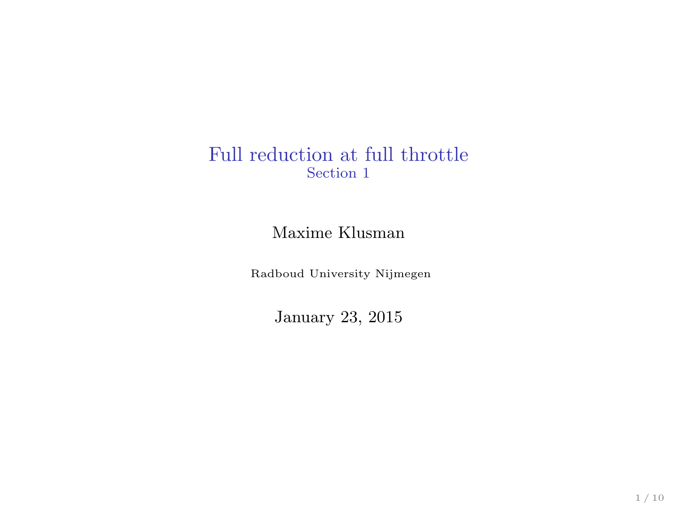#### Full reduction at full throttle Section 1

#### Maxime Klusman

Radboud University Nijmegen

January 23, 2015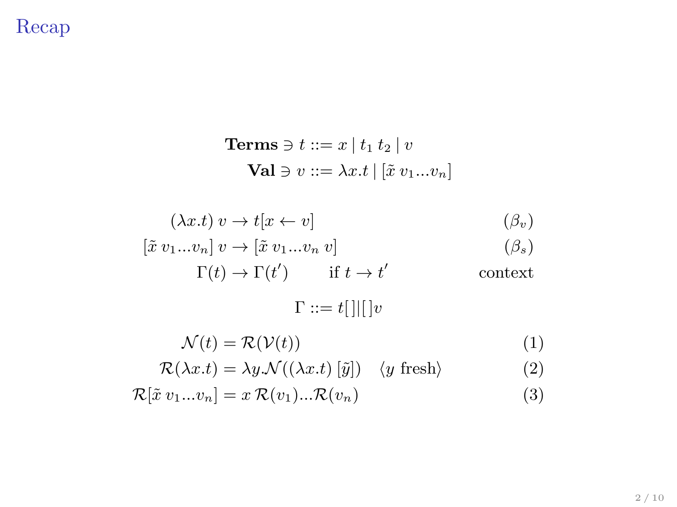## Recap

**Terms** 
$$
\ni
$$
 ::=  $x | t_1 t_2 | v$   
**Val**  $\ni$   $v ::= \lambda x.t | [\tilde{x} v_1 ... v_n]$ 

$$
(\lambda x.t) v \to t[x \leftarrow v] \tag{β_v}
$$

$$
[\tilde{x} \; v_1 ... v_n] \; v \to [\tilde{x} \; v_1 ... v_n \; v] \tag{betas}
$$

$$
\Gamma(t) \to \Gamma(t') \qquad \text{if } t \to t' \qquad \qquad \text{context}
$$

 $Γ ::= t[ ] | [ ]v$ 

$$
\mathcal{N}(t) = \mathcal{R}(\mathcal{V}(t))
$$
\n(1)

$$
\mathcal{R}(\lambda x.t) = \lambda y.\mathcal{N}((\lambda x.t) [\tilde{y}]) \quad \langle y \text{ fresh}\rangle \tag{2}
$$

$$
\mathcal{R}[\tilde{x} \ v_1...v_n] = x \ \mathcal{R}(v_1)... \mathcal{R}(v_n) \tag{3}
$$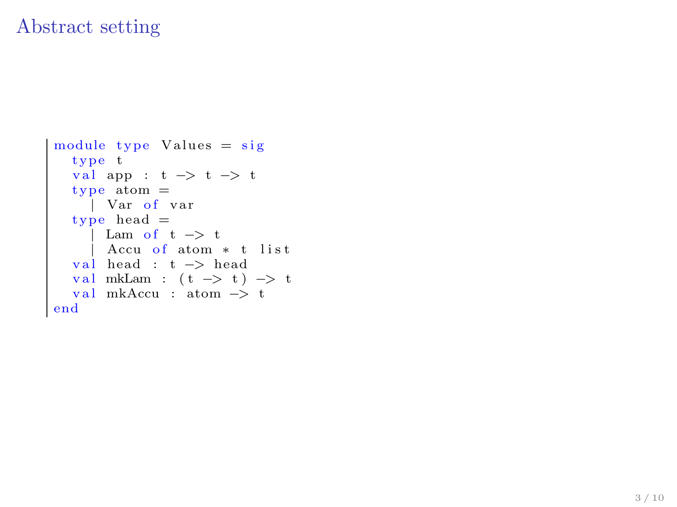#### Abstract setting

```
module type Values = sig
  type t
  val app : t \rightarrow t \rightarrow ttype atom =| Var of var
  type head =\int Lam of t \Rightarrow t
   | Accu o f atom ∗ t l i s t
  val head : t -> head
   val mkLam : (t -> t) -> t<br>val mkAccu : atom -> t
end
```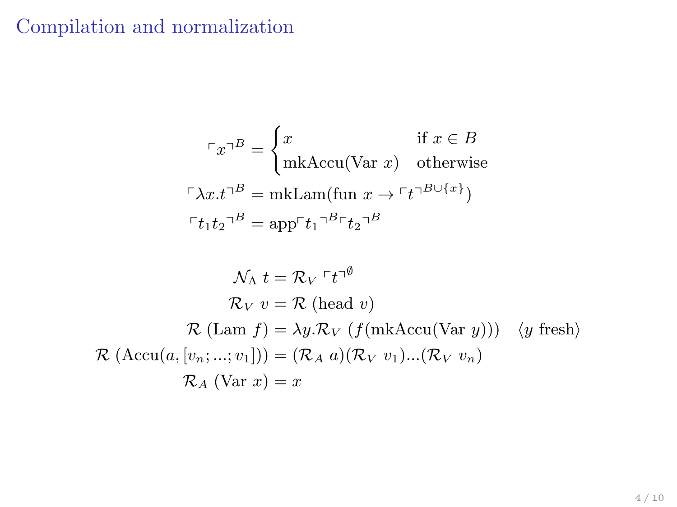## Compilation and normalization

$$
\ulcorner x \urcorner^B = \begin{cases} x & \text{if } x \in B \\ \text{mkAccu(Var } x) & \text{otherwise} \end{cases}
$$

$$
\ulcorner \lambda x . t \urcorner^B = \text{mkLam} (\text{fun } x \to \ulcorner t \urcorner^{B \cup \{x\}})
$$

$$
\ulcorner t_1 t_2 \urcorner^B = \text{app} \ulcorner t_1 \urcorner^{B} \ulcorner t_2 \urcorner^B
$$

$$
\mathcal{N}_{\Lambda} t = \mathcal{R}_{V} \rvert t^{-\emptyset}
$$

$$
\mathcal{R}_{V} v = \mathcal{R} \text{ (head } v)
$$

$$
\mathcal{R} \text{ (Lam } f) = \lambda y. \mathcal{R}_{V} \text{ (f(mkAccu(Var y))) (y fresh)}
$$

$$
\mathcal{R} \text{ (Accu}(a, [v_{n}; ...; v_{1}])) = (\mathcal{R}_{A} a)(\mathcal{R}_{V} v_{1})...( \mathcal{R}_{V} v_{n})
$$

$$
\mathcal{R}_{A} \text{ (Var } x) = x
$$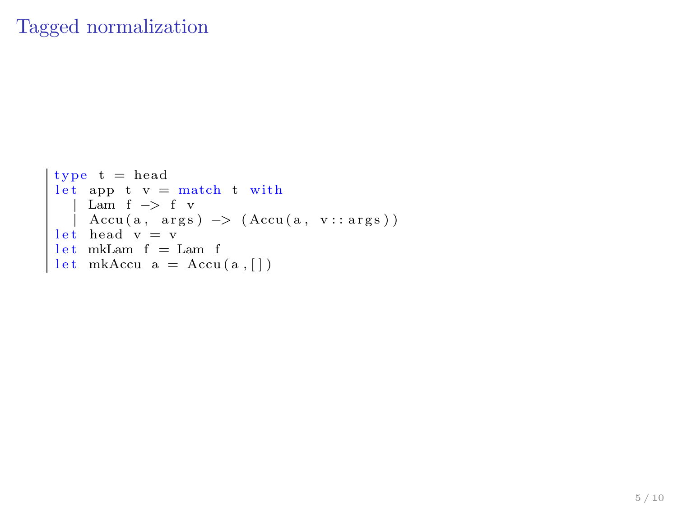### Tagged normalization

```
type t = head
   let app t v = match t with<br>
| Lam f -> f v<br>| Accu(a, args) -> (Accu(a, v::args))<br>let head v = v<br>let mkLam f = Lam f<br>let mkAccu a = Accu(a,[])
```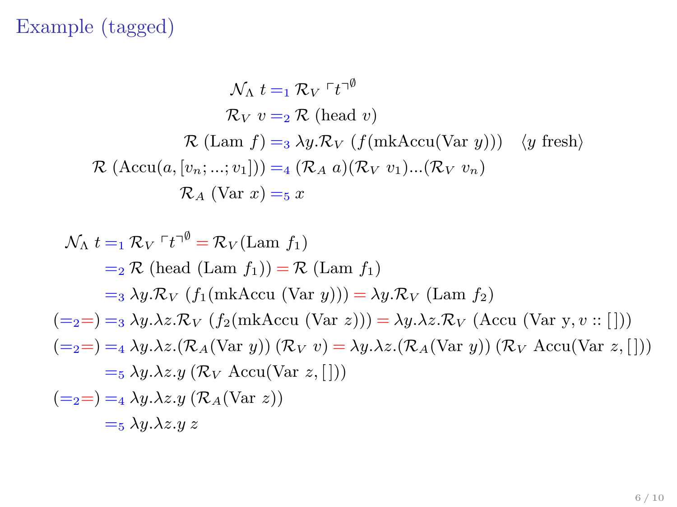# Example (tagged)

$$
\mathcal{N}_{\Lambda} t =_1 \mathcal{R}_{V} \rceil t^{-\emptyset}
$$
  
\n
$$
\mathcal{R}_{V} v =_2 \mathcal{R} \text{ (head } v)
$$
  
\n
$$
\mathcal{R} (\text{Lam } f) =_3 \lambda y. \mathcal{R}_{V} \text{ (f(mkAccu(Var y)))} \text{ (y fresh)}
$$
  
\n
$$
\mathcal{R} (\text{Accu}(a, [v_n; ...; v_1])) =_4 (\mathcal{R}_{A} a)(\mathcal{R}_{V} v_1)...(\mathcal{R}_{V} v_n)
$$
  
\n
$$
\mathcal{R}_{A} (\text{Var } x) =_5 x
$$

$$
\mathcal{N}_{\Lambda} t =_1 \mathcal{R}_{V} \Gamma t^{-\emptyset} = \mathcal{R}_{V}(\text{Lam } f_{1})
$$
  
\n
$$
=_2 \mathcal{R} (\text{head } (\text{Lam } f_{1})) = \mathcal{R} (\text{Lam } f_{1})
$$
  
\n
$$
=_3 \lambda y. \mathcal{R}_{V} (f_{1}(\text{mkAccu } (\text{Var } y))) = \lambda y. \mathcal{R}_{V} (\text{Lam } f_{2})
$$
  
\n
$$
(\text{=2}) =_3 \lambda y. \lambda z. \mathcal{R}_{V} (f_{2}(\text{mkAccu } (\text{Var } z))) = \lambda y. \lambda z. \mathcal{R}_{V} (\text{Accu } (\text{Var } y, v :: [\text{]))
$$
  
\n
$$
(\text{=2}) =_4 \lambda y. \lambda z. (\mathcal{R}_{A}(\text{Var } y)) (\mathcal{R}_{V} v) = \lambda y. \lambda z. (\mathcal{R}_{A}(\text{Var } y)) (\mathcal{R}_{V} \text{Accu}(\text{Var } z, [\text{]))
$$
  
\n
$$
=_5 \lambda y. \lambda z. y (\mathcal{R}_{A}(\text{Var } z))
$$
  
\n
$$
=_5 \lambda y. \lambda z. y z
$$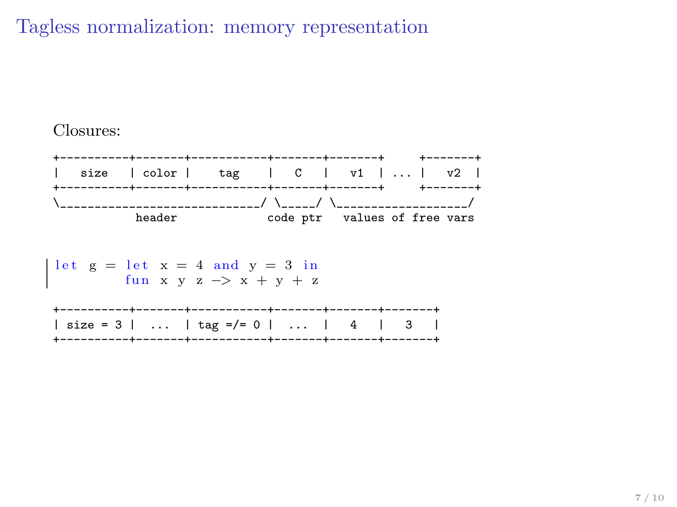### Tagless normalization: memory representation

#### Closures:



 $\overline{\mathbf{z}}$ 

let 
$$
g = \text{let } x = 4
$$
 and  $y = 3$  in  
fun  $x y z \rightarrow x + y + z$   
  
  
 $\downarrow$    
isize = 3 | ... | tar =/5 0 | ... | 4 | 3 |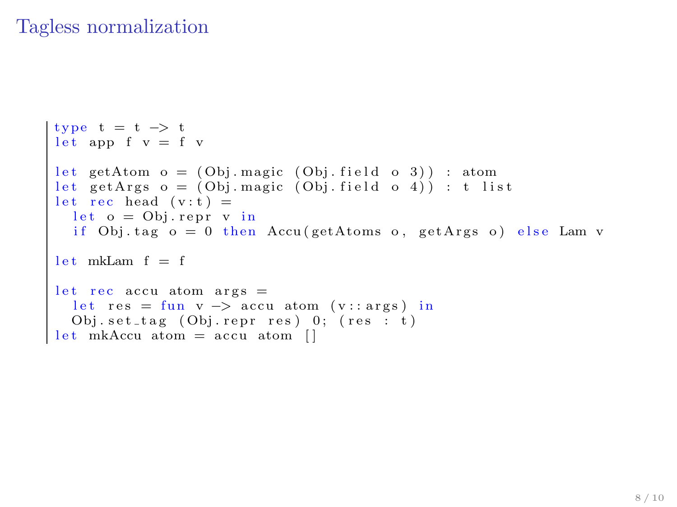### Tagless normalization

```
type t = t \Rightarrow tlet app f v = f v
let getAtom o = (Obj.\text{magic } (Obj.\text{field } o 3)): atom
let getArgs o = (Obj.magic (Obj.field o 4)): t list
let rec head (v:t) =
   let o = Obj!rep r v inif Obj. tag o = 0 then Accu (getAtoms o, getArgs o) else Lam v
\begin{vmatrix} 1 & \text{et} & \text{mkLam} & f = f \end{vmatrix}let rec accu atom args =let res = fun v -> accu atom (v::args) in<br>Obj.set_tag (Obj.repr res) 0; (res : t)<br>let mkAccu atom = accu atom []
```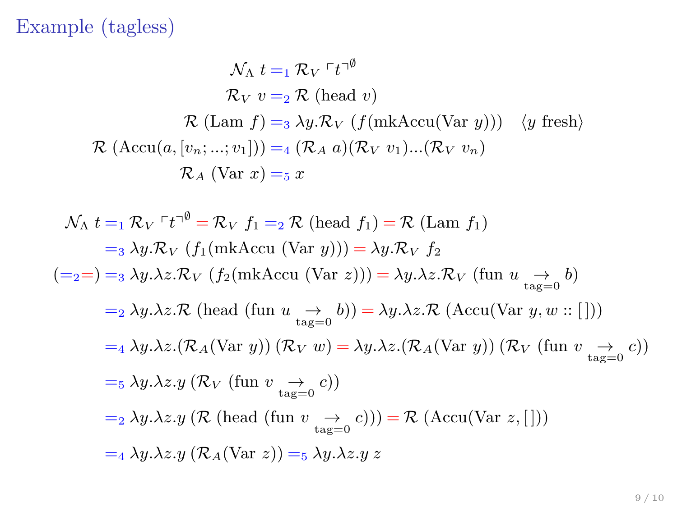# Example (tagless)

$$
\mathcal{N}_{\Lambda} t =_1 \mathcal{R}_{V} \Gamma t^{-\emptyset}
$$
  
\n
$$
\mathcal{R}_{V} v =_2 \mathcal{R} \text{ (head } v)
$$
  
\n
$$
\mathcal{R} \text{ (Lam } f) =_3 \lambda y. \mathcal{R}_{V} \text{ (f(mkAccu(Var y)))} \text{ (y fresh)}
$$
  
\n
$$
\mathcal{R} \text{ (Accu}(a, [v_n; ...; v_1])) =_4 (\mathcal{R}_{A} a)(\mathcal{R}_{V} v_1)...(\mathcal{R}_{V} v_n)
$$
  
\n
$$
\mathcal{R}_{A} \text{ (Var } x) =_5 x
$$

$$
\mathcal{N}_{\Lambda} t =_1 \mathcal{R}_{V} \tau^{*0} = \mathcal{R}_{V} f_1 =_2 \mathcal{R} \text{ (head } f_1) = \mathcal{R} \text{ (Lam } f_1)
$$
\n
$$
=_3 \lambda y. \mathcal{R}_{V} \text{ (}f_1 \text{ (mkAccu (Var } y) \text{))} = \lambda y. \mathcal{R}_{V} f_2
$$
\n
$$
(\text{=}_2 =) =_3 \lambda y. \lambda z. \mathcal{R}_{V} \text{ (}f_2 \text{ (mkAccu (Var } z) \text{))} = \lambda y. \lambda z. \mathcal{R}_{V} \text{ (fun } u \xrightarrow{\rightarrow} b)
$$
\n
$$
=_2 \lambda y. \lambda z. \mathcal{R} \text{ (head (fun } u \xrightarrow{\rightarrow} b) \text{)} = \lambda y. \lambda z. \mathcal{R} \text{ (Accu (Var } y, w::[] \text{))}
$$
\n
$$
=_4 \lambda y. \lambda z. (\mathcal{R}_{A} \text{ (Var } y) \text{ ) } (\mathcal{R}_{V} w) = \lambda y. \lambda z. (\mathcal{R}_{A} \text{ (Var } y) \text{ ) } (\mathcal{R}_{V} \text{ (fun } v \xrightarrow{\rightarrow} c))
$$
\n
$$
=_5 \lambda y. \lambda z. y \text{ (}\mathcal{R}_{V} \text{ (fun } v \xrightarrow{\rightarrow} c \text{))}
$$
\n
$$
=_2 \lambda y. \lambda z. y \text{ (}\mathcal{R} \text{ (head (fun } v \xrightarrow{\rightarrow} c \text{))}) = \mathcal{R} \text{ (Accu (Var } z, [])\text{)}
$$
\n
$$
=_4 \lambda y. \lambda z. y \text{ (}\mathcal{R}_{A} \text{ (Var } z \text{))} =_5 \lambda y. \lambda z. y z
$$